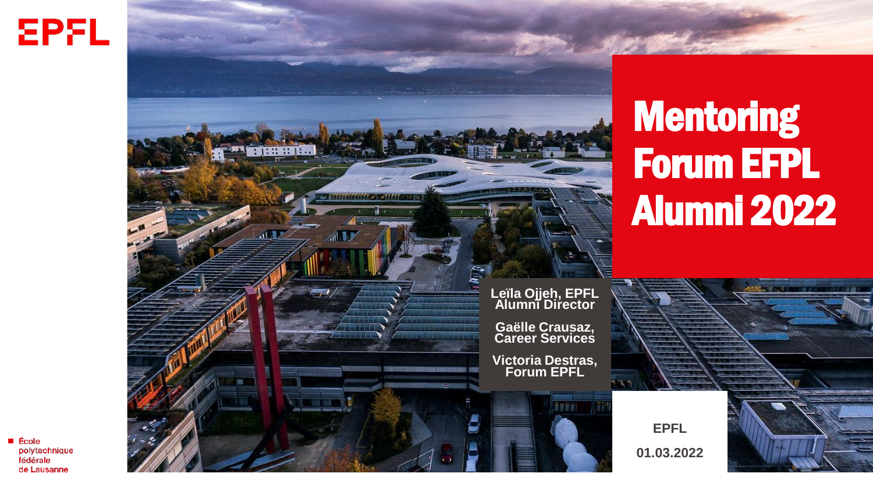



# **Mentoring** Forum EFPL Alumni 2022



**EPFL 01.03.2022**

 $\blacksquare$  École polytechnique fédérale de Lausanne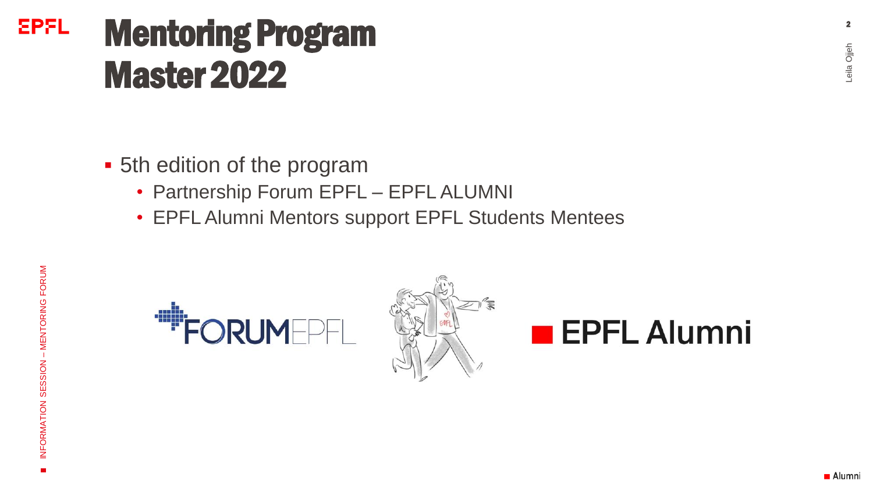### **EPFL** Mentoring Program Master 2022

- 5th edition of the program
	- Partnership Forum EPFL EPFL ALUMNI
	- EPFL Alumni Mentors support EPFL Students Mentees



Leila Ojjeh **2** 

eila Ojjeh

 $\overline{2}$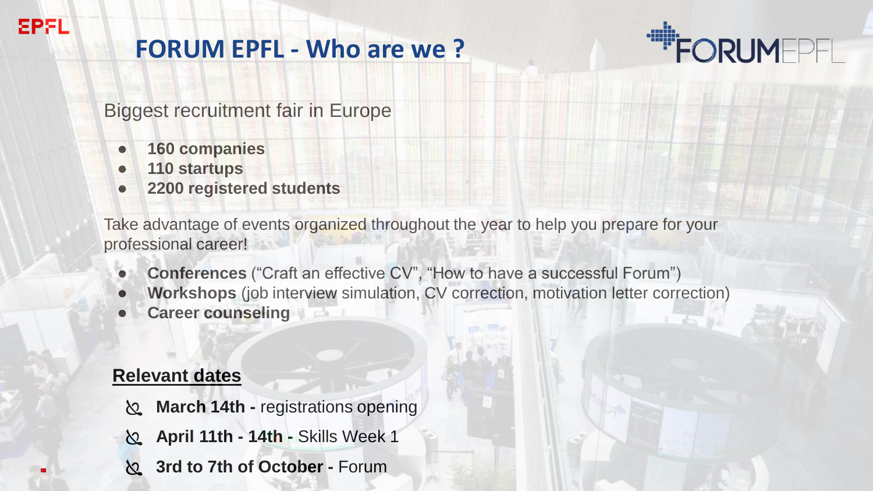# **FORUM EPFL - Who are we ?**



Biggest recruitment fair in Europe

- **160 companies**
- **110 startups**

**EPFL** 

● **2200 registered students**

Take advantage of events organized throughout the year to help you prepare for your professional career!

- **Conferences** ("Craft an effective CV", "How to have a successful Forum")
- **Workshops** (job interview simulation, CV correction, motivation letter correction)
- **Career counseling**

### **Relevant dates**

- **March 14th -** registrations opening
- **April 11th - 14th -** Skills Week 1
- **3rd to 7th of October -** Forum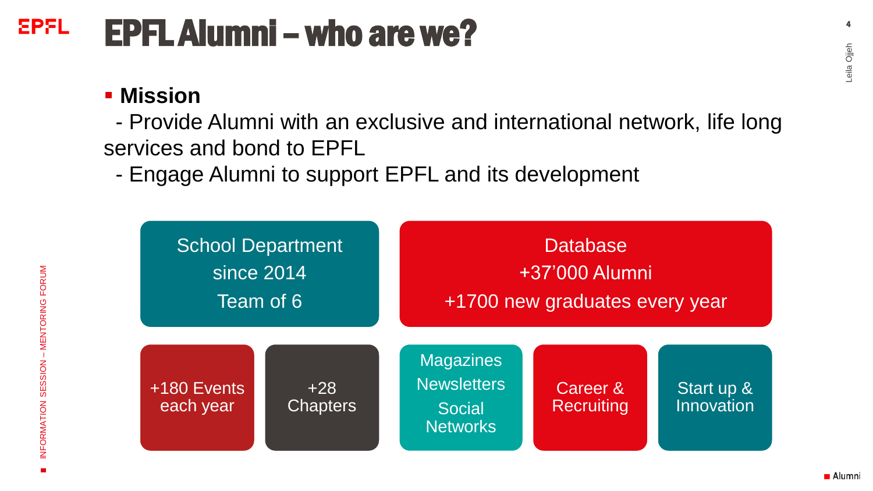#### **EPFL** EPFL Alumni –who are we?

### **▪ Mission**

- Provide Alumni with an exclusive and international network, life long services and bond to EPFL

- Engage Alumni to support EPFL and its development

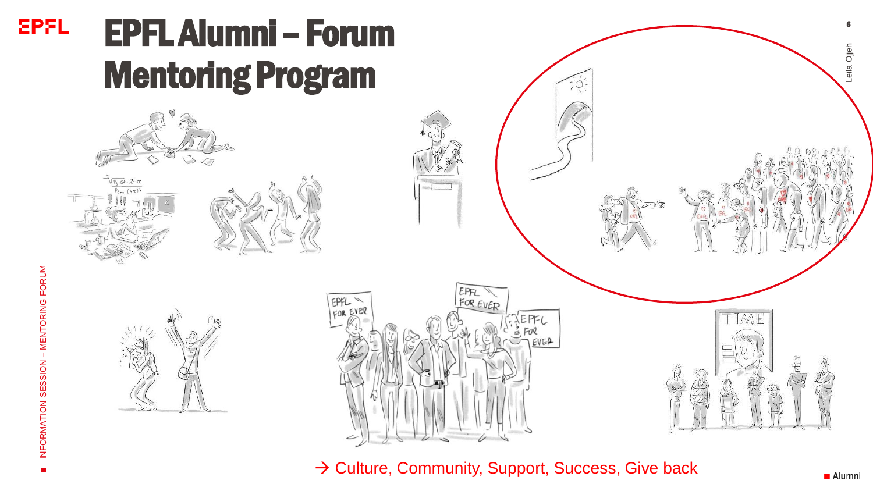

→ Culture, Community, Support, Success, Give back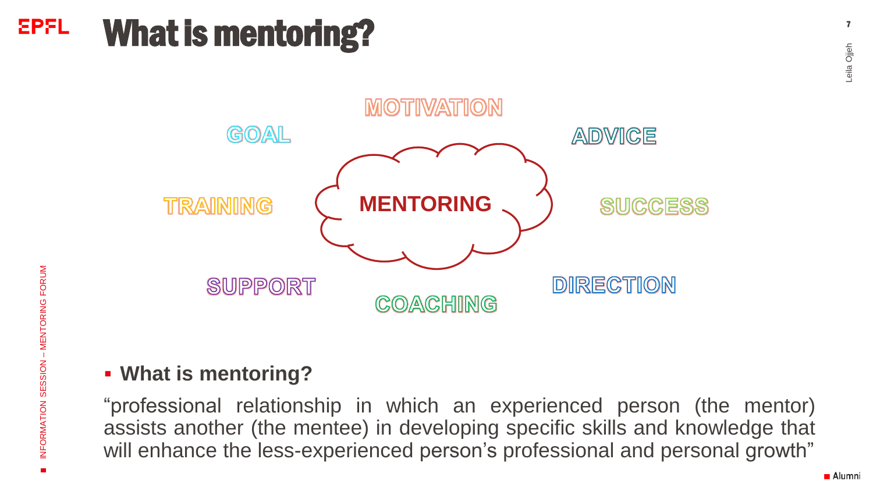### **EPFL** What is mentoring?



### ▪ **What is mentoring?**

"professional relationship in which an experienced person (the mentor) assists another (the mentee) in developing specific skills and knowledge that will enhance the less-experienced person's professional and personal growth"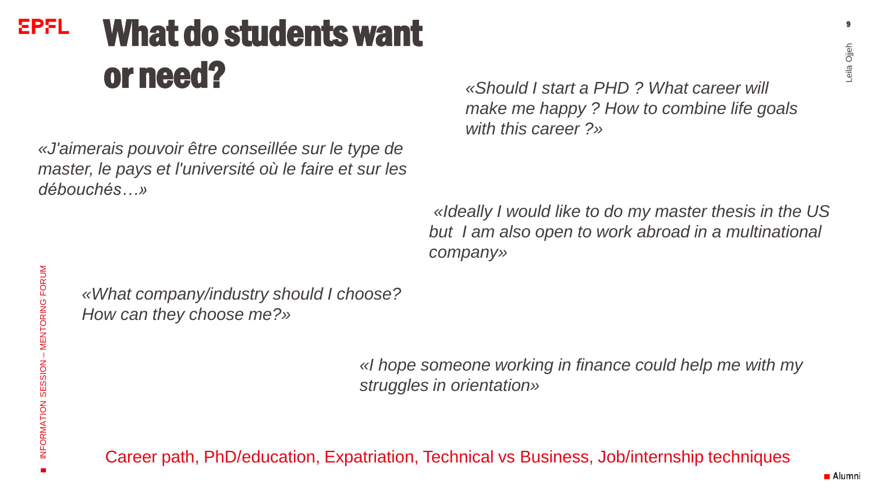### EPFL What do studentswant or need?

*«J'aimerais pouvoir être conseillée sur le type de master, le pays et l'université où le faire et sur les débouchés…»*

*«Should I start a PHD ? What career will make me happy ? How to combine life goals with this career ?»*

*«Ideally I would like to do my master thesis in the US but I am also open to work abroad in a multinational company»*

*«What company/industry should I choose? How can they choose me?»*

> *«I hope someone working in finance could help me with my struggles in orientation»*

Career path, PhD/education, Expatriation, Technical vs Business, Job/internship techniques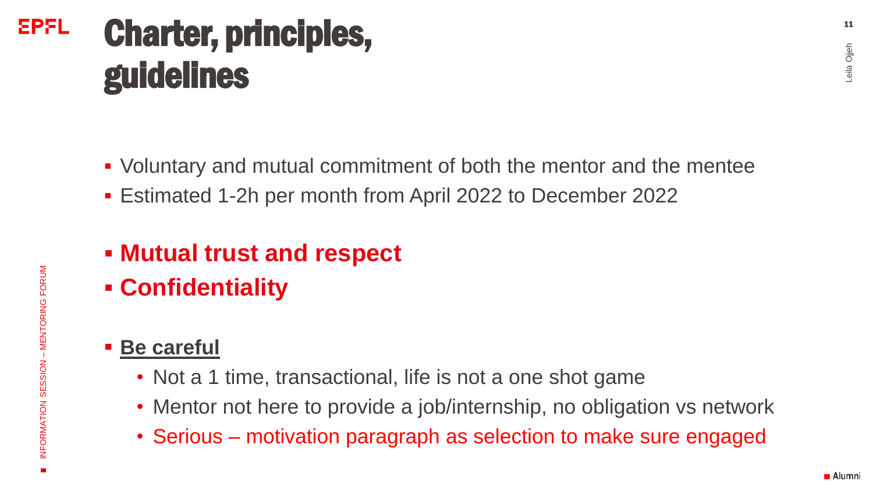# EPFL Charter, principles, guidelines

- Voluntary and mutual commitment of both the mentor and the mentee
- Estimated 1-2h per month from April 2022 to December 2022
- **Mutual trust and respect**
- **Confidentiality**
- **Be careful**
	- Not a 1 time, transactional, life is not a one shot game
	- Mentor not here to provide a job/internship, no obligation vs network
	- Serious motivation paragraph as selection to make sure engaged

■ Alumni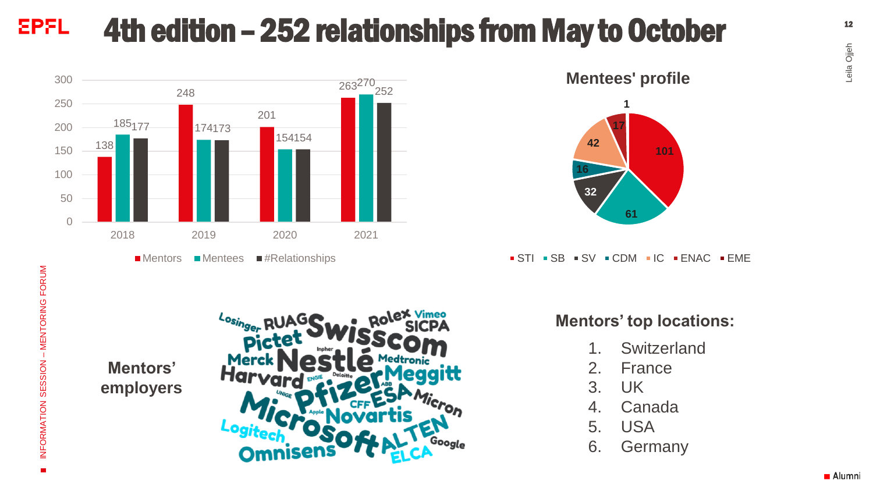#### **EPFL** 4th edition – 252 relationships from May to October



**101 32 16 42 17 1 Mentees' profile**

 $\bullet$  STI  $\bullet$  SB  $\bullet$  SV  $\bullet$  CDM  $\bullet$  IC  $\bullet$  ENAC  $\bullet$  EME

**61**

 $\blacksquare$ 

#### **Mentors' top locations:**

- 1. Switzerland
- 2. France
- 3. UK
- 4. Canada
- 5. USA
- 6. Germany

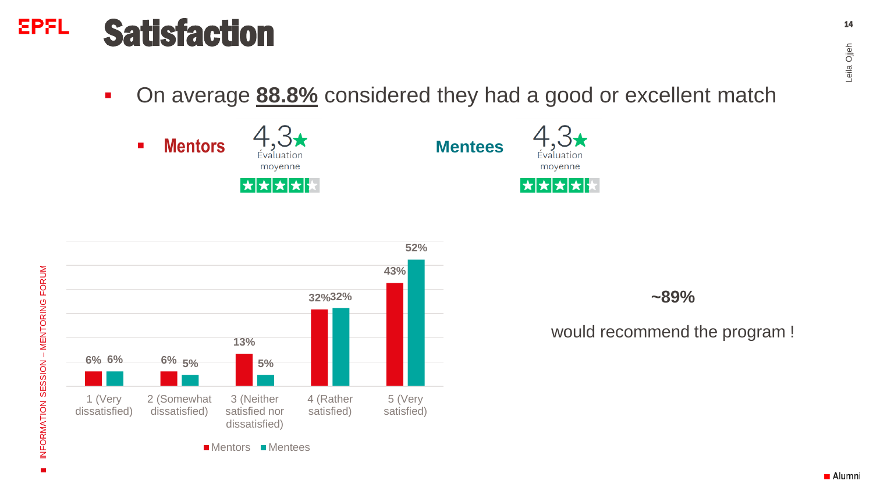#### **EPFL Satisfaction**

▪ On average **88.8%** considered they had a good or excellent match





**~89%**

### would recommend the program !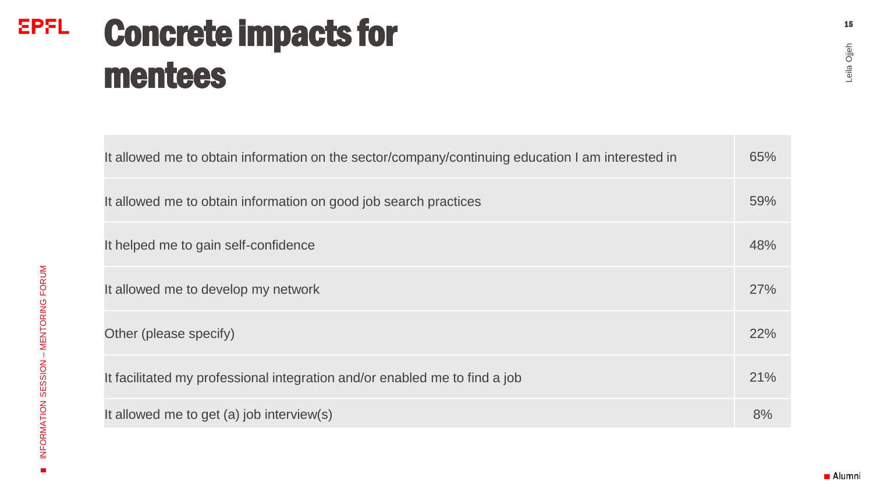### **EPFL** Concrete impacts for mentees

| It allowed me to obtain information on the sector/company/continuing education I am interested in | 65%        |
|---------------------------------------------------------------------------------------------------|------------|
| It allowed me to obtain information on good job search practices                                  | 59%        |
| It helped me to gain self-confidence                                                              | 48%        |
| It allowed me to develop my network                                                               | <b>27%</b> |
| Other (please specify)                                                                            | 22%        |
| It facilitated my professional integration and/or enabled me to find a job                        | 21%        |
| It allowed me to get (a) job interview(s)                                                         | 8%         |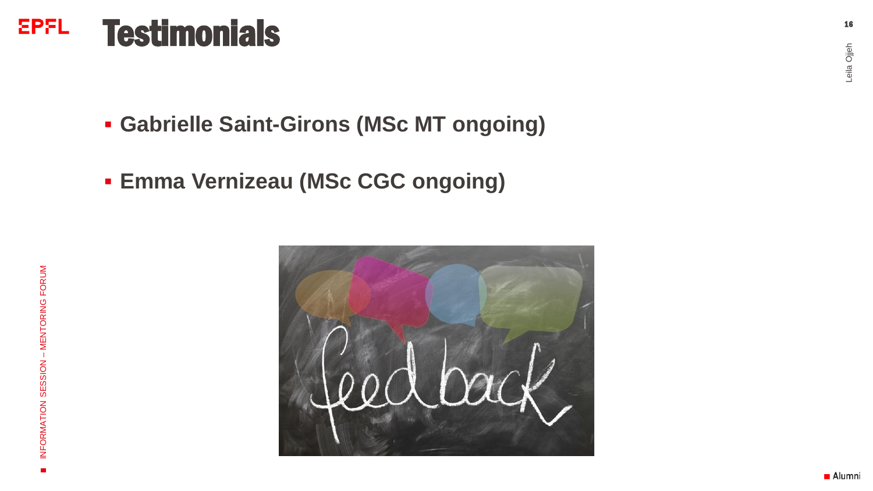#### **EPFL Testimonials**

- **Gabrielle Saint-Girons (MSc MT ongoing)**
- **Emma Vernizeau (MSc CGC ongoing )**

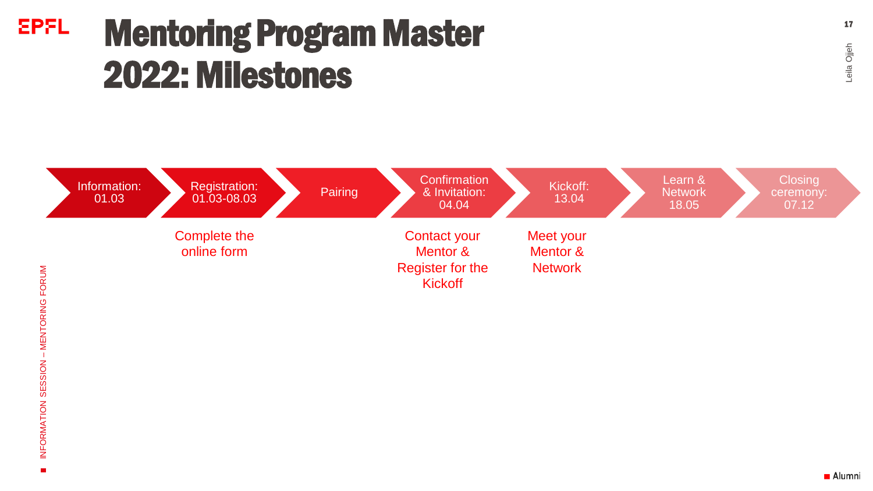# **EPFL** Mentoring Program Master 2022: Milestones



Leila Ojjeh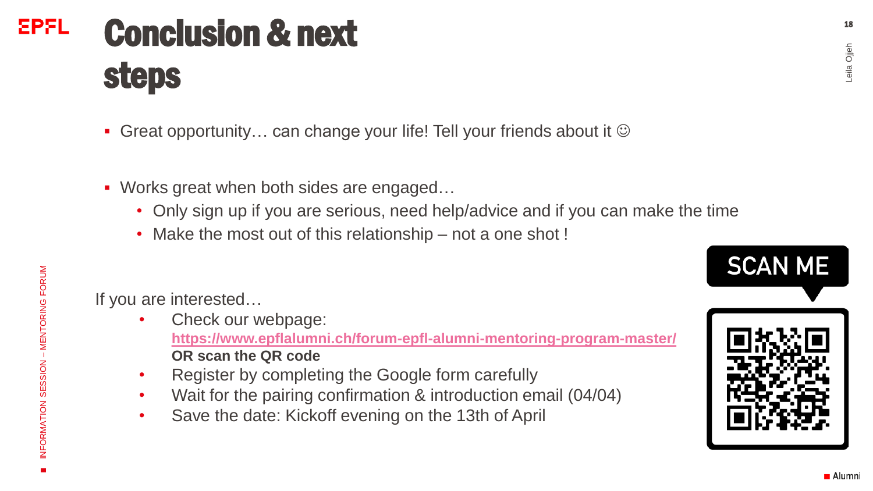18

## **EPFL** Conclusion & next steps

- Great opportunity... can change your life! Tell your friends about it  $\odot$
- Works great when both sides are engaged...
	- Only sign up if you are serious, need help/advice and if you can make the time
	- Make the most out of this relationship not a one shot !

If you are interested…

- Check our webpage: **<https://www.epflalumni.ch/forum-epfl-alumni-mentoring-program-master/> OR scan the QR code**
- Register by completing the Google form carefully
- Wait for the pairing confirmation & introduction email (04/04)
- Save the date: Kickoff evening on the 13th of April





INFORMATION SESSION

INFORMATION SESSION – MENTORING FORUM

- MENTORING FORUM